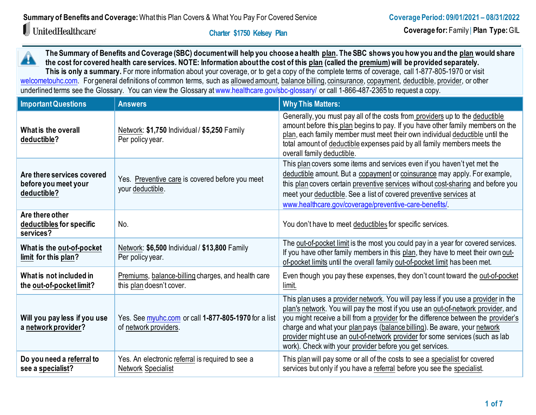# $\mathbb I$  UnitedHealthcare®

 **Charter \$1750 Kelsey Plan** 

**The Summary of Benefits and Coverage (SBC) document will help you choose a health plan. The SBC shows you how you and the plan would share**  A **the cost for covered health care services. NOTE: Information about the cost of this plan (called the premium) will be provided separately.** This is only a summary. For more information about your coverage, or to get a copy of the complete terms of coverage, call 1-877-805-1970 or visit [welcometouhc.com.](http://www.welcometouhc.com/) For general definitions of common terms, such as allowed amount, balance billing, coinsurance, copayment, deductible, provider, or other

underlined terms see the Glossary. You can view the Glossary at [www.healthcare.gov/sbc-glossary/](https://www.healthcare.gov/sbc-glossary/) or call 1-866-487-2365 to request a copy.

| <b>Important Questions</b>                                        | <b>Answers</b>                                                                 | <b>Why This Matters:</b>                                                                                                                                                                                                                                                                                                                                                                                                                                                            |  |
|-------------------------------------------------------------------|--------------------------------------------------------------------------------|-------------------------------------------------------------------------------------------------------------------------------------------------------------------------------------------------------------------------------------------------------------------------------------------------------------------------------------------------------------------------------------------------------------------------------------------------------------------------------------|--|
| What is the overall<br>deductible?                                | Network: \$1,750 Individual / \$5,250 Family<br>Per policy year.               | Generally, you must pay all of the costs from providers up to the deductible<br>amount before this plan begins to pay. If you have other family members on the<br>plan, each family member must meet their own individual deductible until the<br>total amount of deductible expenses paid by all family members meets the<br>overall family deductible.                                                                                                                            |  |
| Are there services covered<br>before you meet your<br>deductible? | Yes. Preventive care is covered before you meet<br>your deductible.            | This plan covers some items and services even if you haven't yet met the<br>deductible amount. But a copayment or coinsurance may apply. For example,<br>this plan covers certain preventive services without cost-sharing and before you<br>meet your deductible. See a list of covered preventive services at<br>www.healthcare.gov/coverage/preventive-care-benefits/.                                                                                                           |  |
| Are there other<br>deductibles for specific<br>services?          | No.                                                                            | You don't have to meet deductibles for specific services.                                                                                                                                                                                                                                                                                                                                                                                                                           |  |
| What is the out-of-pocket<br>limit for this plan?                 | Network: \$6,500 Individual / \$13,800 Family<br>Per policy year.              | The out-of-pocket limit is the most you could pay in a year for covered services.<br>If you have other family members in this plan, they have to meet their own out-<br>of-pocket limits until the overall family out-of-pocket limit has been met.                                                                                                                                                                                                                                 |  |
| What is not included in<br>the out-of-pocket limit?               | Premiums, balance-billing charges, and health care<br>this plan doesn't cover. | Even though you pay these expenses, they don't count toward the out-of-pocket<br>limit.                                                                                                                                                                                                                                                                                                                                                                                             |  |
| Will you pay less if you use<br>a network provider?               | Yes. See myuhc.com or call 1-877-805-1970 for a list<br>of network providers.  | This plan uses a provider network. You will pay less if you use a provider in the<br>plan's network. You will pay the most if you use an out-of-network provider, and<br>you might receive a bill from a provider for the difference between the provider's<br>charge and what your plan pays (balance billing). Be aware, your network<br>provider might use an out-of-network provider for some services (such as lab<br>work). Check with your provider before you get services. |  |
| Do you need a referral to<br>see a specialist?                    | Yes. An electronic referral is required to see a<br><b>Network Specialist</b>  | This plan will pay some or all of the costs to see a specialist for covered<br>services but only if you have a referral before you see the specialist.                                                                                                                                                                                                                                                                                                                              |  |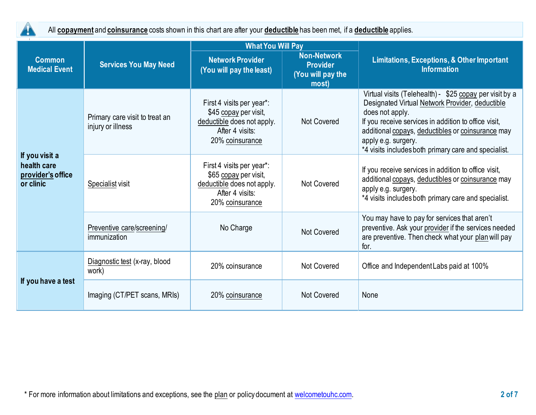

All **copayment** and **coinsurance** costs shown in this chart are after your **deductible** has been met, if a **deductible** applies.

|                                                                 | <b>Services You May Need</b>                        | <b>What You Will Pay</b>                                                                                               |                                                                     |                                                                                                                                                                                                                                                                                                                           |  |
|-----------------------------------------------------------------|-----------------------------------------------------|------------------------------------------------------------------------------------------------------------------------|---------------------------------------------------------------------|---------------------------------------------------------------------------------------------------------------------------------------------------------------------------------------------------------------------------------------------------------------------------------------------------------------------------|--|
| <b>Common</b><br><b>Medical Event</b>                           |                                                     | <b>Network Provider</b><br>(You will pay the least)                                                                    | <b>Non-Network</b><br><b>Provider</b><br>(You will pay the<br>most) | <b>Limitations, Exceptions, &amp; Other Important</b><br><b>Information</b>                                                                                                                                                                                                                                               |  |
| If you visit a<br>health care<br>provider's office<br>or clinic | Primary care visit to treat an<br>injury or illness | First 4 visits per year*:<br>\$45 copay per visit,<br>deductible does not apply.<br>After 4 visits:<br>20% coinsurance | Not Covered                                                         | Virtual visits (Telehealth) - \$25 copay per visit by a<br>Designated Virtual Network Provider, deductible<br>does not apply.<br>If you receive services in addition to office visit,<br>additional copays, deductibles or coinsurance may<br>apply e.g. surgery.<br>*4 visits includes both primary care and specialist. |  |
|                                                                 | Specialist visit                                    | First 4 visits per year*:<br>\$65 copay per visit,<br>deductible does not apply.<br>After 4 visits:<br>20% coinsurance | <b>Not Covered</b>                                                  | If you receive services in addition to office visit,<br>additional copays, deductibles or coinsurance may<br>apply e.g. surgery.<br>*4 visits includes both primary care and specialist.                                                                                                                                  |  |
|                                                                 | Preventive care/screening/<br>immunization          | No Charge                                                                                                              | Not Covered                                                         | You may have to pay for services that aren't<br>preventive. Ask your provider if the services needed<br>are preventive. Then check what your plan will pay<br>for.                                                                                                                                                        |  |
| If you have a test                                              | Diagnostic test (x-ray, blood<br>work)              | 20% coinsurance                                                                                                        | <b>Not Covered</b>                                                  | Office and Independent Labs paid at 100%                                                                                                                                                                                                                                                                                  |  |
|                                                                 | Imaging (CT/PET scans, MRIs)                        | 20% coinsurance                                                                                                        | <b>Not Covered</b>                                                  | None                                                                                                                                                                                                                                                                                                                      |  |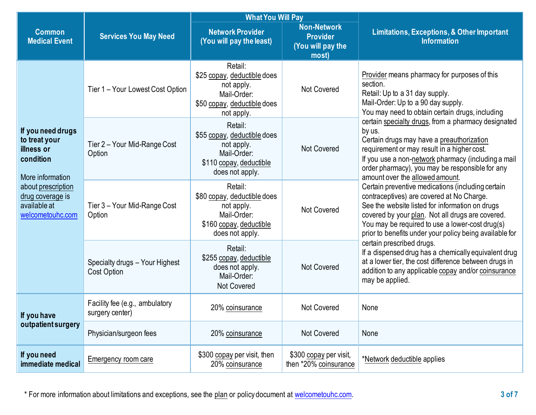|                                                                                   | <b>Services You May Need</b>                      | <b>What You Will Pay</b>                                                                                          |                                                                     |                                                                                                                                                                                                                                                                                                                     |  |
|-----------------------------------------------------------------------------------|---------------------------------------------------|-------------------------------------------------------------------------------------------------------------------|---------------------------------------------------------------------|---------------------------------------------------------------------------------------------------------------------------------------------------------------------------------------------------------------------------------------------------------------------------------------------------------------------|--|
| <b>Common</b><br><b>Medical Event</b>                                             |                                                   | <b>Network Provider</b><br>(You will pay the least)                                                               | <b>Non-Network</b><br><b>Provider</b><br>(You will pay the<br>most) | <b>Limitations, Exceptions, &amp; Other Important</b><br><b>Information</b>                                                                                                                                                                                                                                         |  |
|                                                                                   | Tier 1 - Your Lowest Cost Option                  | Retail:<br>\$25 copay, deductible does<br>not apply.<br>Mail-Order:<br>\$50 copay, deductible does<br>not apply.  | <b>Not Covered</b>                                                  | Provider means pharmacy for purposes of this<br>section.<br>Retail: Up to a 31 day supply.<br>Mail-Order: Up to a 90 day supply.<br>You may need to obtain certain drugs, including                                                                                                                                 |  |
| If you need drugs<br>to treat your<br>illness or<br>condition<br>More information | Tier 2 - Your Mid-Range Cost<br>Option            | Retail:<br>\$55 copay, deductible does<br>not apply.<br>Mail-Order:<br>\$110 copay, deductible<br>does not apply. | <b>Not Covered</b>                                                  | certain specialty drugs, from a pharmacy designated<br>by us.<br>Certain drugs may have a preauthorization<br>requirement or may result in a higher cost.<br>If you use a non-network pharmacy (including a mail<br>order pharmacy), you may be responsible for any<br>amount over the allowed amount.              |  |
| about prescription<br>drug coverage is<br>available at<br>welcometouhc.com        | Tier 3 - Your Mid-Range Cost<br>Option            | Retail:<br>\$80 copay, deductible does<br>not apply.<br>Mail-Order:<br>\$160 copay, deductible<br>does not apply. | <b>Not Covered</b>                                                  | Certain preventive medications (including certain<br>contraceptives) are covered at No Charge.<br>See the website listed for information on drugs<br>covered by your plan. Not all drugs are covered.<br>You may be required to use a lower-cost drug(s)<br>prior to benefits under your policy being available for |  |
|                                                                                   | Specialty drugs - Your Highest<br>Cost Option     | Retail:<br>\$255 copay, deductible<br>does not apply.<br>Mail-Order:<br><b>Not Covered</b>                        | <b>Not Covered</b>                                                  | certain prescribed drugs.<br>If a dispensed drug has a chemically equivalent drug<br>at a lower tier, the cost difference between drugs in<br>addition to any applicable copay and/or coinsurance<br>may be applied.                                                                                                |  |
| If you have<br>outpatient surgery                                                 | Facility fee (e.g., ambulatory<br>surgery center) | 20% coinsurance                                                                                                   | <b>Not Covered</b>                                                  | None                                                                                                                                                                                                                                                                                                                |  |
|                                                                                   | Physician/surgeon fees                            | 20% coinsurance                                                                                                   | <b>Not Covered</b>                                                  | None                                                                                                                                                                                                                                                                                                                |  |
| If you need<br>immediate medical                                                  | Emergency room care                               | \$300 copay per visit, then<br>20% coinsurance                                                                    | \$300 copay per visit,<br>then *20% coinsurance                     | *Network deductible applies                                                                                                                                                                                                                                                                                         |  |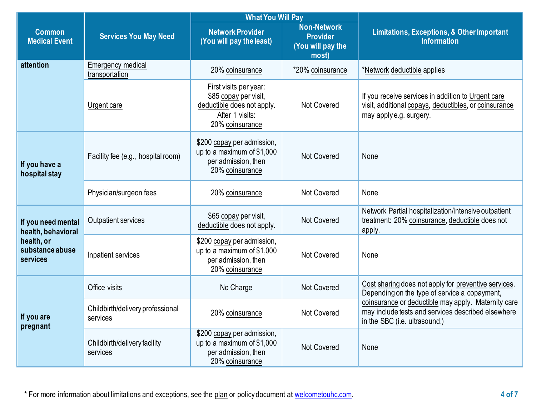|                                                                                       |                                              | <b>What You Will Pay</b>                                                                                            |                                                                     |                                                                                                                                            |  |
|---------------------------------------------------------------------------------------|----------------------------------------------|---------------------------------------------------------------------------------------------------------------------|---------------------------------------------------------------------|--------------------------------------------------------------------------------------------------------------------------------------------|--|
| <b>Common</b><br><b>Medical Event</b>                                                 | <b>Services You May Need</b>                 | <b>Network Provider</b><br>(You will pay the least)                                                                 | <b>Non-Network</b><br><b>Provider</b><br>(You will pay the<br>most) | <b>Limitations, Exceptions, &amp; Other Important</b><br><b>Information</b>                                                                |  |
| attention                                                                             | Emergency medical<br>transportation          | 20% coinsurance                                                                                                     | *20% coinsurance                                                    | *Network deductible applies                                                                                                                |  |
|                                                                                       | Urgent care                                  | First visits per year:<br>\$85 copay per visit,<br>deductible does not apply.<br>After 1 visits:<br>20% coinsurance | Not Covered                                                         | If you receive services in addition to Urgent care<br>visit, additional copays, deductibles, or coinsurance<br>may apply e.g. surgery.     |  |
| If you have a<br>hospital stay                                                        | Facility fee (e.g., hospital room)           | \$200 copay per admission,<br>up to a maximum of \$1,000<br>per admission, then<br>20% coinsurance                  | <b>Not Covered</b>                                                  | None                                                                                                                                       |  |
|                                                                                       | Physician/surgeon fees                       | 20% coinsurance                                                                                                     | <b>Not Covered</b>                                                  | None                                                                                                                                       |  |
| If you need mental<br>health, behavioral<br>health, or<br>substance abuse<br>services | Outpatient services                          | \$65 copay per visit,<br>deductible does not apply.                                                                 | <b>Not Covered</b>                                                  | Network Partial hospitalization/intensive outpatient<br>treatment: 20% coinsurance, deductible does not<br>apply.                          |  |
|                                                                                       | Inpatient services                           | \$200 copay per admission,<br>up to a maximum of $$1,000$<br>per admission, then<br>20% coinsurance                 | Not Covered                                                         | None                                                                                                                                       |  |
| If you are<br>pregnant                                                                | Office visits                                | No Charge                                                                                                           | <b>Not Covered</b>                                                  | Cost sharing does not apply for preventive services.<br>Depending on the type of service a copayment,                                      |  |
|                                                                                       | Childbirth/delivery professional<br>services | 20% coinsurance                                                                                                     | Not Covered                                                         | coinsurance or deductible may apply. Maternity care<br>may include tests and services described elsewhere<br>in the SBC (i.e. ultrasound.) |  |
|                                                                                       | Childbirth/delivery facility<br>services     | \$200 copay per admission,<br>up to a maximum of $$1,000$<br>per admission, then<br>20% coinsurance                 | Not Covered                                                         | None                                                                                                                                       |  |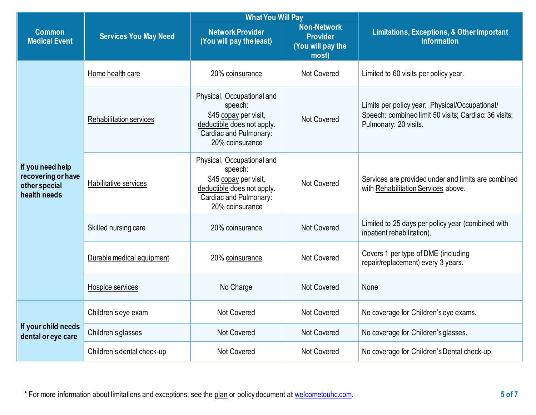|                                                                         | <b>Services You May Need</b>   | <b>What You Will Pay</b>                                                                                                                  |                                                                     |                                                                                                                                  |  |
|-------------------------------------------------------------------------|--------------------------------|-------------------------------------------------------------------------------------------------------------------------------------------|---------------------------------------------------------------------|----------------------------------------------------------------------------------------------------------------------------------|--|
| <b>Common</b><br><b>Medical Event</b>                                   |                                | <b>Network Provider</b><br>(You will pay the least)                                                                                       | <b>Non-Network</b><br><b>Provider</b><br>(You will pay the<br>most) | <b>Limitations, Exceptions, &amp; Other Important</b><br><b>Information</b>                                                      |  |
| If you need help<br>recovering or have<br>other special<br>health needs | Home health care               | 20% coinsurance                                                                                                                           | <b>Not Covered</b>                                                  | Limited to 60 visits per policy year.                                                                                            |  |
|                                                                         | <b>Rehabilitation services</b> | Physical, Occupational and<br>speech:<br>\$45 copay per visit,<br>deductible does not apply.<br>Cardiac and Pulmonary:<br>20% coinsurance | <b>Not Covered</b>                                                  | Limits per policy year: Physical/Occupational/<br>Speech: combined limit 50 visits; Cardiac: 36 visits;<br>Pulmonary: 20 visits. |  |
|                                                                         | Habilitative services          | Physical, Occupational and<br>speech:<br>\$45 copay per visit,<br>deductible does not apply.<br>Cardiac and Pulmonary:<br>20% coinsurance | Not Covered                                                         | Services are provided under and limits are combined<br>with Rehabilitation Services above.                                       |  |
|                                                                         | Skilled nursing care           | 20% coinsurance                                                                                                                           | <b>Not Covered</b>                                                  | Limited to 25 days per policy year (combined with<br>inpatient rehabilitation).                                                  |  |
|                                                                         | Durable medical equipment      | 20% coinsurance                                                                                                                           | Not Covered                                                         | Covers 1 per type of DME (including<br>repair/replacement) every 3 years.                                                        |  |
|                                                                         | Hospice services               | No Charge                                                                                                                                 | <b>Not Covered</b>                                                  | None                                                                                                                             |  |
| If your child needs<br>dental or eye care                               | Children's eye exam            | <b>Not Covered</b>                                                                                                                        | <b>Not Covered</b>                                                  | No coverage for Children's eye exams.                                                                                            |  |
|                                                                         | Children's glasses             | <b>Not Covered</b>                                                                                                                        | <b>Not Covered</b>                                                  | No coverage for Children's glasses.                                                                                              |  |
|                                                                         | Children's dental check-up     | Not Covered                                                                                                                               | <b>Not Covered</b>                                                  | No coverage for Children's Dental check-up.                                                                                      |  |

\* For more information about limitations and exceptions, see the plan or policy document at [welcometouhc.com.](http://www.welcometouhc.com/) **5 of 7**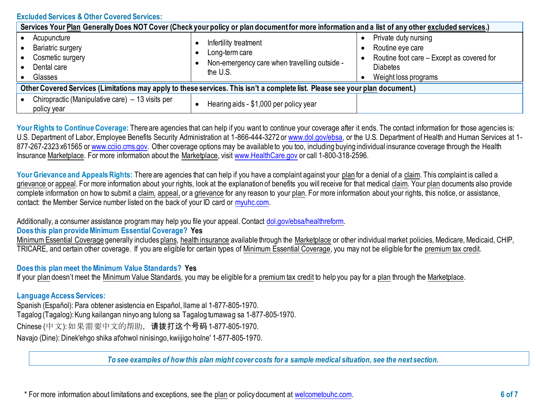## **Excluded Services & Other Covered Services:**

| Services Your Plan Generally Does NOT Cover (Check your policy or plan document for more information and a list of any other excluded services.) |                                                                                                     |                                                                                                                                  |  |  |  |
|--------------------------------------------------------------------------------------------------------------------------------------------------|-----------------------------------------------------------------------------------------------------|----------------------------------------------------------------------------------------------------------------------------------|--|--|--|
| Acupuncture<br>Bariatric surgery<br>Cosmetic surgery<br>Dental care<br>Glasses                                                                   | Infertility treatment<br>Long-term care<br>Non-emergency care when travelling outside -<br>the U.S. | Private duty nursing<br>Routine eye care<br>Routine foot care - Except as covered for<br><b>Diabetes</b><br>Weight loss programs |  |  |  |
| Other Covered Services (Limitations may apply to these services. This isn't a complete list. Please see your plan document.)                     |                                                                                                     |                                                                                                                                  |  |  |  |
| Chiropractic (Manipulative care) – 13 visits per<br>policy year                                                                                  | Hearing aids - \$1,000 per policy year                                                              |                                                                                                                                  |  |  |  |

Your Rights to Continue Coverage: There are agencies that can help if you want to continue your coverage after it ends. The contact information for those agencies is: U.S. Department of Labor, Employee Benefits Security Administration at 1-866-444-3272 or [www.dol.gov/ebsa,](http://www.dol.gov/ebsa) or the U.S. Department of Health and Human Services at 1877-267-2323 x61565 or [www.cciio.cms.gov.](http://www.cciio.cms.gov/) Other coverage options may be available to you too, including buying individual insurance coverage through the Health Insurance Marketplace. For more information about the Marketplace, visit [www.HealthCare.gov](http://www.healthcare.gov/) or call 1-800-318-2596.

Your Grievance and Appeals Rights: There are agencies that can help if you have a complaint against your plan for a denial of a claim. This complaint is called a grievance or appeal. For more information about your rights, look at the explanation of benefits you will receive for that medical claim. Your plan documents also provide complete information on how to submit a claim, appeal, or a grievance for any reason to your plan. For more information about your rights, this notice, or assistance, contact: the Member Service number listed on the back of your ID card or [myuhc.com.](http://www.myuhc.com/) 

Additionally, a consumer assistance program may help you file your appeal. Contact [dol.gov/ebsa/healthreform.](https://www.dol.gov/ebsa/healthreform)

# **Does this plan provide Minimum Essential Coverage? Yes**

Minimum Essential Coverage generally includes plans, health insurance available through the Marketplace or other individual market policies, Medicare, Medicaid, CHIP, TRICARE, and certain other coverage. If you are eligible for certain types of Minimum Essential Coverage, you may not be eligible for the premium tax credit.

#### **Does this plan meet the Minimum Value Standards? Yes**

If your plan doesn't meet the Minimum Value Standards, you may be eligible for a premium tax credit to help you pay for a plan through the Marketplace.

#### **Language Access Services:**

Spanish (Español): Para obtener asistencia en Español, llame al 1-877-805-1970. Tagalog (Tagalog): Kung kailangan ninyo ang tulong sa Tagalog tumawag sa 1-877-805-1970. Chinese (中文): 如果需要中文的帮助,请拨打这个号码1-877-805-1970. Navajo (Dine): Dinek'ehgo shika at'ohwol ninisingo, kwiijigo holne' 1-877-805-1970.

To see examples of how this plan might cover costs for a sample medical situation, see the next section.

\* For more information about limitations and exceptions, see the plan or policy document at [welcometouhc.com.](http://www.welcometouhc.com/) **6 of 7**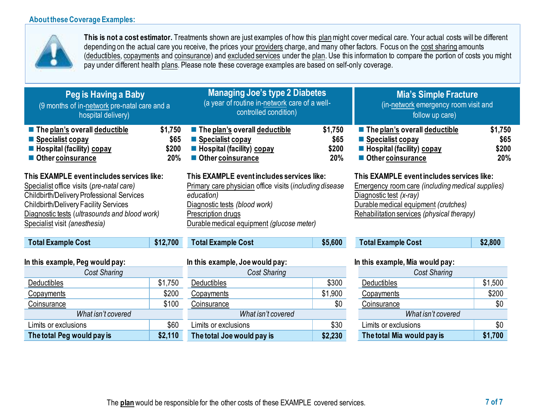## **About these Coverage Examples:**



**This is not a cost estimator.** Treatments shown are just examples of how this planmight cover medical care. Your actual costs will be different depending on the actual care you receive, the prices your providers charge, and many other factors. Focus on the cost sharing amounts (deductibles, copayments and coinsurance) and excluded services under the plan. Use this information to compare the portion of costs you might pay under different health plans. Please note these coverage examples are based on self-only coverage.

| Peg is Having a Baby<br>(9 months of in-network pre-natal care and a<br>hospital delivery)                                                                                                                                                                                    |                                 | <b>Managing Joe's type 2 Diabetes</b><br>(a year of routine in-network care of a well-<br>controlled condition)                                                                                                         |                                 | <b>Mia's Simple Fracture</b><br>(in-network emergency room visit and<br>follow up care)                                                                                                                         |                                 |
|-------------------------------------------------------------------------------------------------------------------------------------------------------------------------------------------------------------------------------------------------------------------------------|---------------------------------|-------------------------------------------------------------------------------------------------------------------------------------------------------------------------------------------------------------------------|---------------------------------|-----------------------------------------------------------------------------------------------------------------------------------------------------------------------------------------------------------------|---------------------------------|
| The plan's overall deductible<br>■ Specialist copay<br>$\blacksquare$ Hospital (facility) copay<br>Other coinsurance                                                                                                                                                          | \$1,750<br>\$65<br>\$200<br>20% | $\blacksquare$ The plan's overall deductible<br>■ Specialist copay<br>$\blacksquare$ Hospital (facility) copay<br>Other coinsurance                                                                                     | \$1,750<br>\$65<br>\$200<br>20% | $\blacksquare$ The plan's overall deductible<br><b>Specialist copay</b><br>■ Hospital (facility) copay<br>Other coinsurance                                                                                     | \$1,750<br>\$65<br>\$200<br>20% |
| This EXAMPLE event includes services like:<br>Specialist office visits (pre-natal care)<br><b>Childbirth/Delivery Professional Services</b><br><b>Childbirth/Delivery Facility Services</b><br>Diagnostic tests (ultrasounds and blood work)<br>Specialist visit (anesthesia) |                                 | This EXAMPLE event includes services like:<br>Primary care physician office visits (including disease<br>education)<br>Diagnostic tests (blood work)<br>Prescription drugs<br>Durable medical equipment (glucose meter) |                                 | This EXAMPLE event includes services like:<br>Emergency room care (including medical supplies)<br>Diagnostic test (x-ray)<br>Durable medical equipment (crutches)<br>Rehabilitation services (physical therapy) |                                 |
| <b>Total Example Cost</b>                                                                                                                                                                                                                                                     | \$12,700                        | <b>Total Example Cost</b>                                                                                                                                                                                               | \$5,600                         | <b>Total Example Cost</b>                                                                                                                                                                                       | \$2,800                         |
| In this example, Peg would pay:                                                                                                                                                                                                                                               |                                 | In this example, Joe would pay:                                                                                                                                                                                         |                                 | In this example, Mia would pay:                                                                                                                                                                                 |                                 |
| <b>Cost Sharing</b>                                                                                                                                                                                                                                                           |                                 | <b>Cost Sharing</b>                                                                                                                                                                                                     |                                 | <b>Cost Sharing</b>                                                                                                                                                                                             |                                 |
| <b>Deductibles</b>                                                                                                                                                                                                                                                            | \$1,750                         | Deductibles                                                                                                                                                                                                             | \$300                           | <b>Deductibles</b>                                                                                                                                                                                              | \$1,500                         |
| Copayments                                                                                                                                                                                                                                                                    | \$200                           | Copayments                                                                                                                                                                                                              | \$1,900                         | Copayments                                                                                                                                                                                                      | \$200                           |
| Coinsurance                                                                                                                                                                                                                                                                   | \$100                           | Coinsurance                                                                                                                                                                                                             | \$0                             | Coinsurance                                                                                                                                                                                                     | \$0                             |
| What isn't covered                                                                                                                                                                                                                                                            |                                 | What isn't covered                                                                                                                                                                                                      |                                 | What isn't covered                                                                                                                                                                                              |                                 |
| Limits or exclusions                                                                                                                                                                                                                                                          | \$60                            | Limits or exclusions                                                                                                                                                                                                    | \$30                            | Limits or exclusions                                                                                                                                                                                            | \$0                             |
| The total Peg would pay is                                                                                                                                                                                                                                                    | \$2,110                         | The total Joe would pay is                                                                                                                                                                                              | \$2,230                         | The total Mia would pay is                                                                                                                                                                                      | \$1,700                         |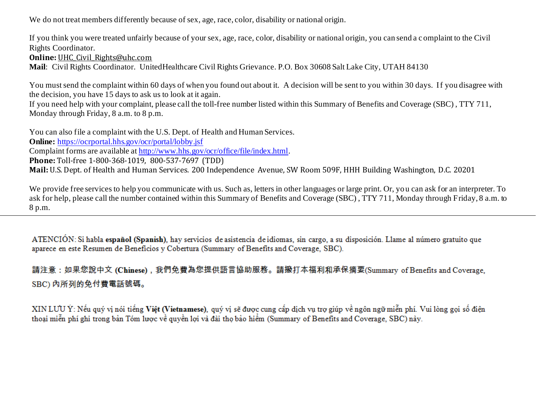We do not treat members differently because of sex, age, race, color, disability or national origin.

If you think you were treated unfairly because of your sex, age, race, color, disability or national origin, you can send a c omplaint to the Civil Rights Coordinator.

**Online: UHC Civil Rights@uhc.com** 

**Mail**: Civil Rights Coordinator. UnitedHealthcare Civil Rights Grievance. P.O. Box 30608 Salt Lake City, UTAH 84130

You must send the complaint within 60 days of when you found out about it. A decision will be sent to you within 30 days. If you disagree with the decision, you have 15 days to ask us to look at it again.

If you need help with your complaint, please call the toll-free number listed within this Summary of Benefits and Coverage (SBC) , TTY 711, Monday through Friday, 8 a.m. to 8 p.m.

You can also file a complaint with the U.S. Dept. of Health and Human Services. **Online:** <https://ocrportal.hhs.gov/ocr/portal/lobby.jsf> Complaint forms are available a[t http://www.hhs.gov/ocr/office/file/index.html](http://www.hhs.gov/ocr/office/file/index.html). **Phone:** Toll-free 1-800-368-1019, 800-537-7697 (TDD) **Mail:** U.S. Dept. of Health and Human Services. 200 Independence Avenue, SW Room 509F, HHH Building Washington, D.C. 20201

We provide free services to help you communicate with us. Such as, letters in other languages or large print. Or, you can ask for an interpreter. To ask for help, please call the number contained within this Summary of Benefits and Coverage (SBC) , TTY 711, Monday through Friday, 8 a.m. to 8 p.m.

ATENCIÓN: Si habla español (Spanish), hay servicios de asistencia de idiomas, sin cargo, a su disposición. Llame al número gratuito que aparece en este Resumen de Beneficios y Cobertura (Summary of Benefits and Coverage, SBC).

請注意:如果您說中文 (Chinese),我們免費為您提供語言協助服務。請撥打本福利和承保摘要(Summary of Benefits and Coverage, SBC) 内所列的免付費電話號碼。

XIN LƯU Ý: Nếu quý vị nói tiếng Việt (Vietnamese), quý vị sẽ được cung cấp dịch vụ trợ giúp về ngôn ngữ miễn phí. Vui lòng gọi số điện thoại miễn phí ghi trong bản Tóm lược về quyền lợi và đài thọ bảo hiểm (Summary of Benefits and Coverage, SBC) này.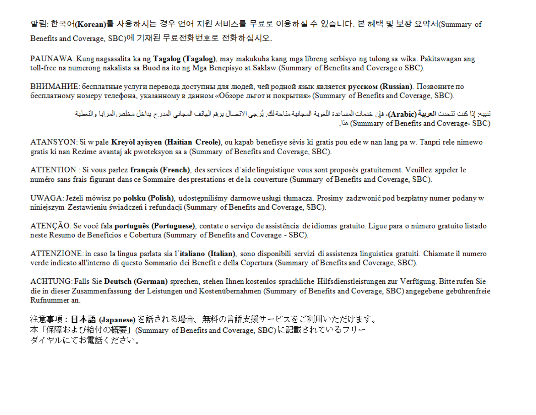알림: 한국어(Korean)를 사용하시는 경우 언어 지원 서비스를 무료로 이용하실 수 있습니다. 본 혜택 및 보장 요약서(Summary of Benefits and Coverage, SBC)에 기재된 무료전화번호로 전화하십시오.

PAUNAWA: Kung nagsasalita ka ng **Tagalog (Tagalog)**, may makukuha kang mga libreng serbisyo ng tulong sa wika. Pakitawagan ang toll-free na numerong nakalista sa Buod na ito ng Mga Benepisyo at Saklaw (Summary of Benefits and Coverage o SBC).

ВНИМАНИЕ: бесплатные услуги перевода доступны для людей, чей родной язык является русском (Russian). Позвоните по бесплатному номеру телефона, указанному в данном «Обзоре льгот и покрытия» (Summary of Benefits and Coverage, SBC).

> تنبيه: إذا كنت تتحدث ا**لعربية (Arabic)**، فإن خدمات المساعدة اللغوية المجانية متاحة لك. يُرجى الاتصال برهَم الهاتف المجاني المدرج بداخل مخلص المزايا والتغطية (Summary of Benefits and Coverage، SBC)

ATANSYON: Si w pale Kreyol ayisyen (Haitian Creole), ou kapab benefisye sèvis ki gratis pou ede w nan lang pa w. Tanpri rele nimewo gratis ki nan Rezime avantaj ak pwoteksyon sa a (Summary of Benefits and Coverage, SBC).

ATTENTION : Si vous parlez francais (French), des services d'aide linguistique vous sont proposés gratuitement. Veuillez appeler le numéro sans frais figurant dans ce Sommaire des prestations et de la couverture (Summary of Benefits and Coverage, SBC).

UWAGA: Jeżeli mówisz po polsku (Polish), udostępniliśmy darmowe usługi tłumacza. Prosimy zadzwonić pod bezpłatny numer podany w niniejszym Zestawieniu świadczeń i refundacji (Summary of Benefits and Coverage, SBC).

ATENCÃO: Se você fala português (Portuguese), contate o servico de assistência de idiomas gratuito. Ligue para o número gratuito listado neste Resumo de Benefícios e Cobertura (Summary of Benefits and Coverage - SBC).

ATTENZIONE: in caso la lingua parlata sia l'italiano (Italian), sono disponibili servizi di assistenza linguistica gratuiti. Chiamate il numero verde indicato all'interno di questo Sommario dei Benefit e della Copertura (Summary of Benefits and Coverage, SBC).

ACHTUNG: Falls Sie Deutsch (German) sprechen, stehen Ihnen kostenlos sprachliche Hilfsdienstleistungen zur Verfügung. Bitte rufen Sie die in dieser Zusammenfassung der Leistungen und Kostenübernahmen (Summary of Benefits and Coverage, SBC) angegebene gebührenfreie Rufnummer an.

注意事項:日本語 (Japanese)を話される場合、無料の言語支援サービスをご利用いただけます。 本「保障および給付の概要」(Summary of Benefits and Coverage, SBC)に記載されているフリー ダイヤルにてお電話ください。